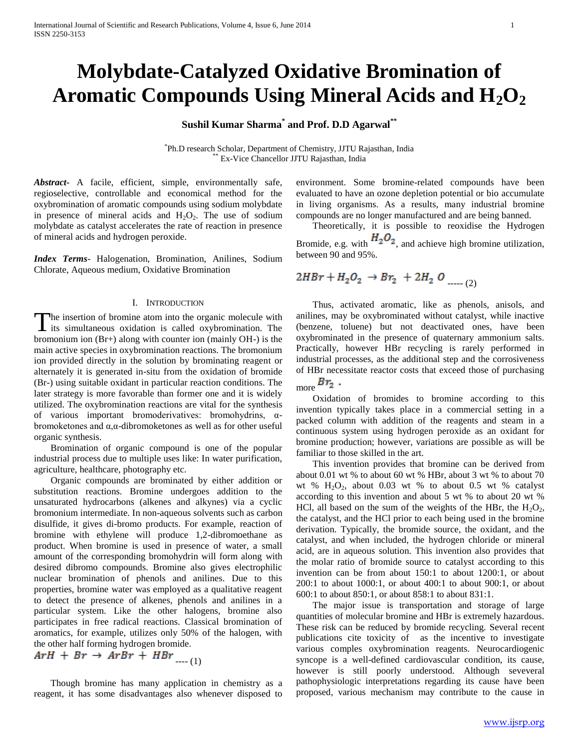# **Molybdate-Catalyzed Oxidative Bromination of Aromatic Compounds Using Mineral Acids and H2O<sup>2</sup>**

**Sushil Kumar Sharma\* and Prof. D.D Agarwal\*\***

\* Ph.D research Scholar, Department of Chemistry, JJTU Rajasthan, India Ex-Vice Chancellor JJTU Rajasthan, India

*Abstract***-** A facile, efficient, simple, environmentally safe, regioselective, controllable and economical method for the oxybromination of aromatic compounds using sodium molybdate in presence of mineral acids and  $H_2O_2$ . The use of sodium molybdate as catalyst accelerates the rate of reaction in presence of mineral acids and hydrogen peroxide.

*Index Terms*- Halogenation, Bromination, Anilines, Sodium Chlorate, Aqueous medium, Oxidative Bromination

## I. INTRODUCTION

The insertion of bromine atom into the organic molecule with The insertion of bromine atom into the organic molecule with<br>its simultaneous oxidation is called oxybromination. The bromonium ion (Br+) along with counter ion (mainly OH-) is the main active species in oxybromination reactions. The bromonium ion provided directly in the solution by brominating reagent or alternately it is generated in-situ from the oxidation of bromide (Br-) using suitable oxidant in particular reaction conditions. The later strategy is more favorable than former one and it is widely utilized. The oxybromination reactions are vital for the synthesis of various important bromoderivatives: bromohydrins, αbromoketones and α,α-dibromoketones as well as for other useful organic synthesis.

 Bromination of organic compound is one of the popular industrial process due to multiple uses like: In water purification, agriculture, healthcare, photography etc.

 Organic compounds are brominated by either addition or substitution reactions. Bromine undergoes addition to the unsaturated hydrocarbons (alkenes and alkynes) via a cyclic bromonium intermediate. In non-aqueous solvents such as carbon disulfide, it gives di-bromo products. For example, reaction of bromine with ethylene will produce 1,2-dibromoethane as product. When bromine is used in presence of water, a small amount of the corresponding bromohydrin will form along with desired dibromo compounds. Bromine also gives electrophilic nuclear bromination of phenols and anilines. Due to this properties, bromine water was employed as a qualitative reagent to detect the presence of alkenes, phenols and anilines in a particular system. Like the other halogens, bromine also participates in free radical reactions. Classical bromination of aromatics, for example, utilizes only 50% of the halogen, with the other half forming hydrogen bromide.

$$
ArH + Br \rightarrow ArBr + HBr \dots (1)
$$

 Though bromine has many application in chemistry as a reagent, it has some disadvantages also whenever disposed to

environment. Some bromine-related compounds have been evaluated to have an ozone depletion potential or bio accumulate in living organisms. As a results, many industrial bromine compounds are no longer manufactured and are being banned.

 Theoretically, it is possible to reoxidise the Hydrogen Bromide, e.g. with  $H_2O_2$ , and achieve high bromine utilization, between 90 and 95%.

$$
2HBr + H_2O_2 \rightarrow Br_2 + 2H_2 O_{\text{max (2)}}
$$

 Thus, activated aromatic, like as phenols, anisols, and anilines, may be oxybrominated without catalyst, while inactive (benzene, toluene) but not deactivated ones, have been oxybrominated in the presence of quaternary ammonium salts. Practically, however HBr recycling is rarely performed in industrial processes, as the additional step and the corrosiveness of HBr necessitate reactor costs that exceed those of purchasing

more  $Br_2$ .

 Oxidation of bromides to bromine according to this invention typically takes place in a commercial setting in a packed column with addition of the reagents and steam in a continuous system using hydrogen peroxide as an oxidant for bromine production; however, variations are possible as will be familiar to those skilled in the art.

 This invention provides that bromine can be derived from about 0.01 wt % to about 60 wt % HBr, about 3 wt % to about 70 wt %  $H_2O_2$ , about 0.03 wt % to about 0.5 wt % catalyst according to this invention and about 5 wt % to about 20 wt % HCl, all based on the sum of the weights of the HBr, the  $H_2O_2$ , the catalyst, and the HCl prior to each being used in the bromine derivation. Typically, the bromide source, the oxidant, and the catalyst, and when included, the hydrogen chloride or mineral acid, are in aqueous solution. This invention also provides that the molar ratio of bromide source to catalyst according to this invention can be from about 150:1 to about 1200:1, or about 200:1 to about 1000:1, or about 400:1 to about 900:1, or about 600:1 to about 850:1, or about 858:1 to about 831:1.

 The major issue is transportation and storage of large quantities of molecular bromine and HBr is extremely hazardous. These risk can be reduced by bromide recycling. Several recent publications cite toxicity of as the incentive to investigate various comples oxybromination reagents. Neurocardiogenic syncope is a well-defined cardiovascular condition, its cause, however is still poorly understood. Although seveveral pathophysiologic interpretations regarding its cause have been proposed, various mechanism may contribute to the cause in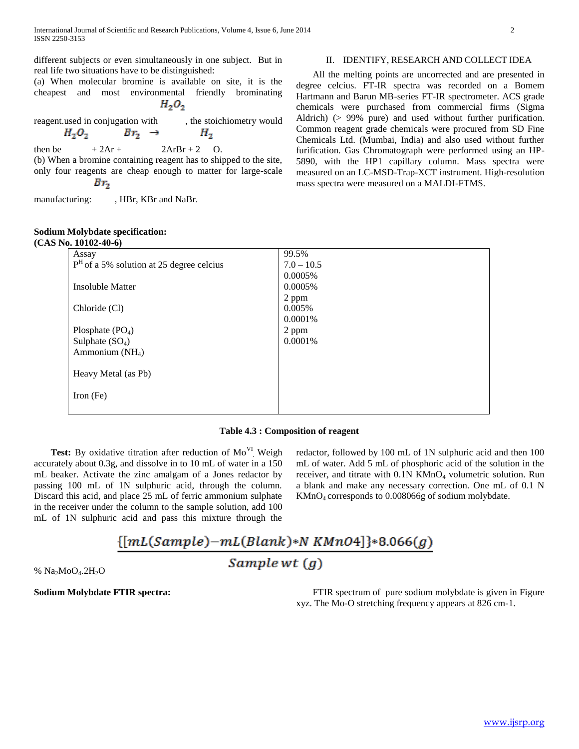different subjects or even simultaneously in one subject. But in real life two situations have to be distinguished:

(a) When molecular bromine is available on site, it is the cheapest and most environmental friendly brominating  $H_2O_2$ 

reagent.used in conjugation with , the stoichiometry would  $H_2O_2$  $Br_2 \rightarrow$  $H<sub>2</sub>$ 

then be  $+2Ar + 2ArBr + 2 O$ . (b) When a bromine containing reagent has to shipped to the site, only four reagents are cheap enough to matter for large-scale  $Br<sub>2</sub>$ 

manufacturing: , HBr, KBr and NaBr.

# **Sodium Molybdate specification:**

# **(CAS No. 10102-40-6)**

# II. IDENTIFY, RESEARCH AND COLLECT IDEA

 All the melting points are uncorrected and are presented in degree celcius. FT-IR spectra was recorded on a Bomem Hartmann and Barun MB-series FT-IR spectrometer. ACS grade chemicals were purchased from commercial firms (Sigma Aldrich) (> 99% pure) and used without further purification. Common reagent grade chemicals were procured from SD Fine Chemicals Ltd. (Mumbai, India) and also used without further furification. Gas Chromatograph were performed using an HP-5890, with the HP1 capillary column. Mass spectra were measured on an LC-MSD-Trap-XCT instrument. High-resolution mass spectra were measured on a MALDI-FTMS.

| 10. IVIVA-TV-VI                            |              |
|--------------------------------------------|--------------|
| Assay                                      | 99.5%        |
| $PH$ of a 5% solution at 25 degree celcius | $7.0 - 10.5$ |
|                                            | 0.0005%      |
| <b>Insoluble Matter</b>                    | 0.0005%      |
|                                            | 2 ppm        |
| Chloride (Cl)                              | 0.005%       |
|                                            | 0.0001%      |
| Plosphate $(PO4)$                          | 2 ppm        |
| Sulphate $(SO_4)$                          | 0.0001\%     |
| Ammonium $(NH_4)$                          |              |
|                                            |              |
| Heavy Metal (as Pb)                        |              |
|                                            |              |
| Iron $(Fe)$                                |              |
|                                            |              |

## **Table 4.3 : Composition of reagent**

Test: By oxidative titration after reduction of Mo<sup>VI</sup> Weigh accurately about 0.3g, and dissolve in to 10 mL of water in a 150 mL beaker. Activate the zinc amalgam of a Jones redactor by passing 100 mL of 1N sulphuric acid, through the column. Discard this acid, and place 25 mL of ferric ammonium sulphate in the receiver under the column to the sample solution, add 100 mL of 1N sulphuric acid and pass this mixture through the

redactor, followed by 100 mL of 1N sulphuric acid and then 100 mL of water. Add 5 mL of phosphoric acid of the solution in the receiver, and titrate with  $0.1N K MnO<sub>4</sub>$  volumetric solution. Run a blank and make any necessary correction. One mL of 0.1 N KMnO4 corresponds to 0.008066g of sodium molybdate.

# ${[mL(Sample)-mL(Blank)*NKMnO4]}*8.066(g)$ Sample wt  $(q)$

 $%$  Na<sub>2</sub>MoO<sub>4</sub>.2H<sub>2</sub>O

**Sodium Molybdate FTIR spectra:** FTIR spectrum of pure sodium molybdate is given in Figure xyz. The Mo-O stretching frequency appears at 826 cm-1.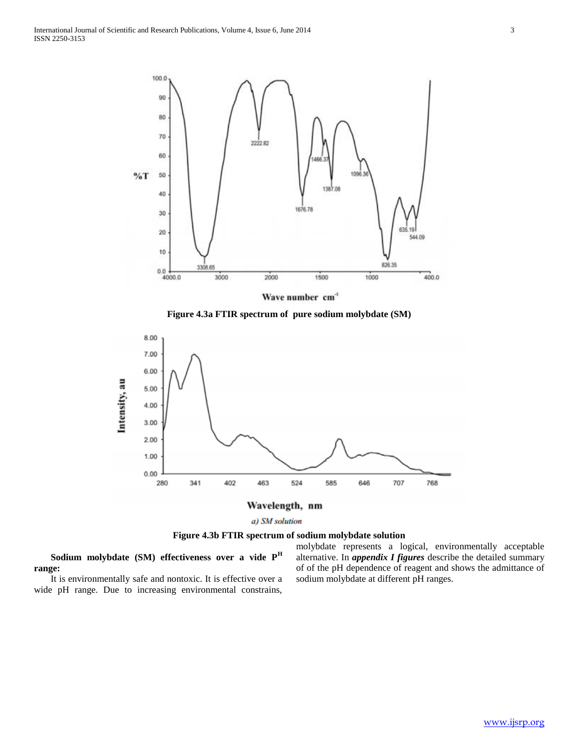

Wave number cm<sup>-1</sup>

**Figure 4.3a FTIR spectrum of pure sodium molybdate (SM)**



a) SM solution

**Figure 4.3b FTIR spectrum of sodium molybdate solution**

 **Sodium molybdate (SM) effectiveness over a vide P<sup>H</sup> range:** 

 It is environmentally safe and nontoxic. It is effective over a wide pH range. Due to increasing environmental constrains,

molybdate represents a logical, environmentally acceptable alternative. In *appendix I figures* describe the detailed summary of of the pH dependence of reagent and shows the admittance of sodium molybdate at different pH ranges.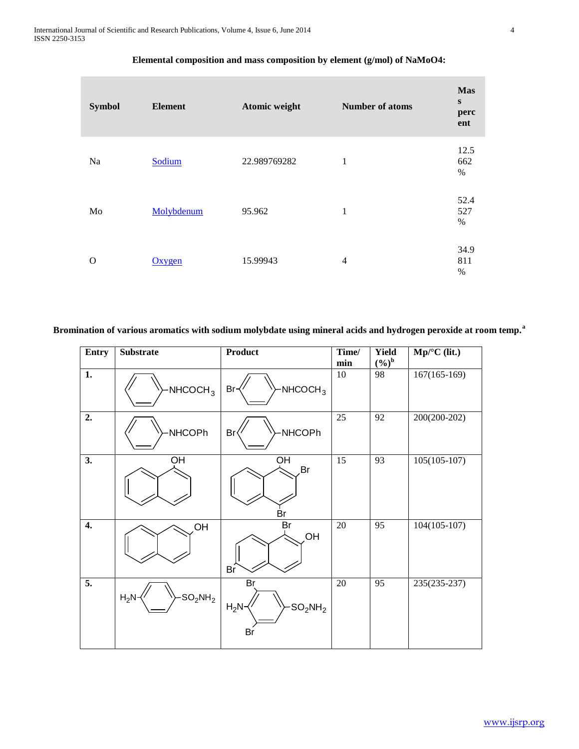| <b>Symbol</b> | <b>Element</b> | Atomic weight | <b>Number of atoms</b> | <b>Mas</b><br>$\mathbf{s}$<br>perc<br>ent |
|---------------|----------------|---------------|------------------------|-------------------------------------------|
| Na            | Sodium         | 22.989769282  | $\mathbf 1$            | 12.5<br>662<br>$\%$                       |
| Mo            | Molybdenum     | 95.962        | $\mathbf 1$            | 52.4<br>527<br>$\%$                       |
| O             | Oxygen         | 15.99943      | $\overline{4}$         | 34.9<br>811<br>$\%$                       |

# **Elemental composition and mass composition by element (g/mol) of NaMoO4:**

**Bromination of various aromatics with sodium molybdate using mineral acids and hydrogen peroxide at room temp.<sup>a</sup>**

| <b>Entry</b>       | <b>Substrate</b>     | Product                                                        | Time/<br>min | <b>Yield</b><br>$(9/0)^b$ | $Mp^{\circ}C$ (lit.) |
|--------------------|----------------------|----------------------------------------------------------------|--------------|---------------------------|----------------------|
| 1.                 | NHCOCH <sub>3</sub>  | NHCOCH <sub>3</sub><br>Br-                                     | 10           | 98                        | $167(165-169)$       |
| 2.                 | NHCOPh               | Br<br>NHCOPh                                                   | 25           | 92                        | 200(200-202)         |
| 3.                 | OH                   | $\overline{OH}$<br>Br<br>Br                                    | 15           | 93                        | $105(105-107)$       |
| $\boldsymbol{4}$ . | OH                   | Br<br>,OH<br>Br                                                | $20\,$       | 95                        | $104(105-107)$       |
| $\overline{5}$ .   | $H_2N$<br>$SO_2NH_2$ | Br<br>$H_2N-$<br>$\cdot$ SO <sub>2</sub> NH <sub>2</sub><br>Br | $20\,$       | 95                        | 235(235-237)         |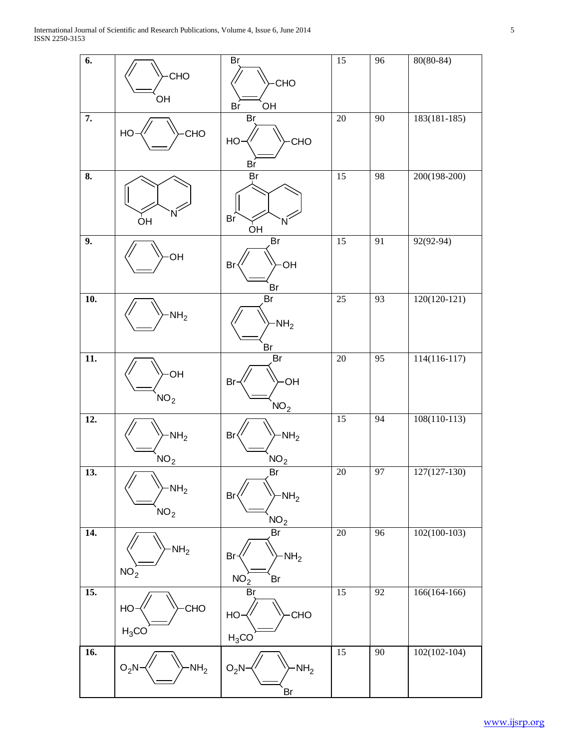| 6.                |                  | Br                         | $15\,$          | 96              | $80(80-84)$    |
|-------------------|------------------|----------------------------|-----------------|-----------------|----------------|
|                   | CHO              | CHO                        |                 |                 |                |
|                   | OH               | OH<br>Br                   |                 |                 |                |
| $\overline{7}$ .  |                  | Br                         | $\overline{20}$ | 90              | $183(181-185)$ |
|                   | CHO<br>HO        | HO-<br>CHO                 |                 |                 |                |
|                   |                  | Br                         |                 |                 |                |
| 8.                |                  | Br                         | 15              | 98              | 200(198-200)   |
|                   |                  |                            |                 |                 |                |
|                   | ÒН               | Br<br>N<br>ÒН              |                 |                 |                |
| 9.                |                  | Br                         | $\overline{15}$ | 91              | $92(92-94)$    |
|                   | OH               | <b>OH</b><br>Br            |                 |                 |                |
|                   |                  | Br                         |                 |                 |                |
| 10.               |                  | Br                         | $\overline{25}$ | 93              | $120(120-121)$ |
|                   | NH <sub>2</sub>  | $-NH2$                     |                 |                 |                |
|                   |                  | Br                         |                 |                 |                |
| $\overline{11}$ . |                  | Br                         | $20\,$          | 95              | $114(116-117)$ |
|                   | <b>OH</b>        | <b>OH</b><br>Br            |                 |                 |                |
|                   | NO <sub>2</sub>  | NO <sub>2</sub>            |                 |                 |                |
| $\overline{12}$ . |                  |                            | $\overline{15}$ | 94              | $108(110-113)$ |
|                   | $-NH2$           | $-NH2$<br>Br               |                 |                 |                |
|                   | NO <sub>2</sub>  | NO <sub>2</sub>            |                 |                 |                |
| 13.               |                  | Br                         | 20              | 97              | 127(127-130)   |
|                   | $-NH2$           | Br<br>$-NH2$               |                 |                 |                |
|                   | NO <sub>2</sub>  | NO <sub>2</sub>            |                 |                 |                |
| 14.               |                  | $\overline{Br}$            | $\overline{20}$ | $\overline{96}$ | $102(100-103)$ |
|                   | NH <sub>2</sub>  | Br-<br>$-NH2$              |                 |                 |                |
|                   | NO <sub>2</sub>  | NO <sub>2</sub><br>Br      |                 |                 |                |
| $\overline{15}$ . |                  | Br                         | $\overline{15}$ | 92              | $166(164-166)$ |
|                   | CHO<br>HO-       | HO-<br>CHO                 |                 |                 |                |
|                   | $H_3CO$          | $H_3CO$                    |                 |                 |                |
| $\overline{16}$ . |                  |                            | 15              | $\overline{90}$ | $102(102-104)$ |
|                   | $O_2N$<br>$-NH2$ | O <sub>2</sub> N<br>$NH_2$ |                 |                 |                |
|                   |                  | Br                         |                 |                 |                |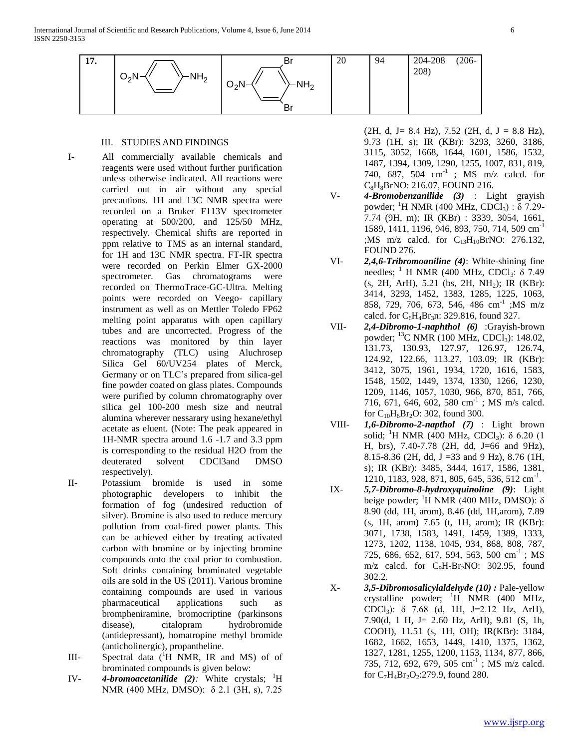

# III. STUDIES AND FINDINGS

- I- All commercially available chemicals and reagents were used without further purification unless otherwise indicated. All reactions were carried out in air without any special precautions. 1H and 13C NMR spectra were recorded on a Bruker F113V spectrometer operating at 500/200, and 125/50 MHz, respectively. Chemical shifts are reported in ppm relative to TMS as an internal standard, for 1H and 13C NMR spectra. FT-IR spectra were recorded on Perkin Elmer GX-2000 spectrometer. Gas chromatograms were recorded on ThermoTrace-GC-Ultra. Melting points were recorded on Veego- capillary instrument as well as on Mettler Toledo FP62 melting point apparatus with open capillary tubes and are uncorrected. Progress of the reactions was monitored by thin layer chromatography (TLC) using Aluchrosep Silica Gel 60/UV254 plates of Merck, Germany or on TLC's prepared from silica-gel fine powder coated on glass plates. Compounds were purified by column chromatography over silica gel 100-200 mesh size and neutral alumina wherever nessarary using hexane/ethyl acetate as eluent. (Note: The peak appeared in 1H-NMR spectra around 1.6 -1.7 and 3.3 ppm is corresponding to the residual H2O from the deuterated solvent CDCl3and DMSO respectively).
- II- Potassium bromide is used in some photographic developers to inhibit the formation of fog (undesired reduction of silver). Bromine is also used to reduce mercury pollution from coal-fired power plants. This can be achieved either by treating activated carbon with bromine or by injecting bromine compounds onto the coal prior to combustion. Soft drinks containing brominated vegetable oils are sold in the US (2011). Various bromine containing compounds are used in various pharmaceutical applications such as brompheniramine, bromocriptine (parkinsons disease), citalopram hydrobromide (antidepressant), homatropine methyl bromide (anticholinergic), propantheline.
- III- Spectral data  $(^1H$  NMR, IR and MS) of of brominated compounds is given below:
- IV- **4-bromoacetanilide** (2): White crystals; <sup>1</sup>H NMR (400 MHz, DMSO): δ 2.1 (3H, s), 7.25

 $(2H, d, J = 8.4 \text{ Hz})$ , 7.52 (2H, d, J = 8.8 Hz), 9.73 (1H, s); IR (KBr): 3293, 3260, 3186, 3115, 3052, 1668, 1644, 1601, 1586, 1532, 1487, 1394, 1309, 1290, 1255, 1007, 831, 819, 740, 687, 504  $cm^{-1}$  ; MS m/z calcd. for C<sub>8</sub>H<sub>8</sub>BrNO: 216.07, FOUND 216.

- V- *4-Bromobenzanilide (3)* : Light grayish powder; <sup>1</sup>H NMR (400 MHz, CDCl<sub>3</sub>) : δ 7.29-7.74 (9H, m); IR (KBr) : 3339, 3054, 1661, 1589, 1411, 1196, 946, 893, 750, 714, 509 cm-1 ;MS m/z calcd. for  $C_{13}H_{10}BrNO: 276.132$ , FOUND 276.
- VI- *2,4,6-Tribromoaniline (4)*: White-shining fine needles; <sup>1</sup> H NMR (400 MHz, CDCl<sub>3</sub>:  $\delta$  7.49 (s, 2H, ArH), 5.21 (bs, 2H, NH2); IR (KBr): 3414, 3293, 1452, 1383, 1285, 1225, 1063, 858, 729, 706, 673, 546, 486 cm<sup>-1</sup>; MS m/z calcd. for  $C_6H_4Br_3n$ : 329.816, found 327.
- VII- *2,4-Dibromo-1-naphthol (6)* :Grayish-brown powder; <sup>13</sup>C NMR (100 MHz, CDCl<sub>3</sub>): 148.02, 131.73, 130.93, 127.97, 126.97, 126.74, 124.92, 122.66, 113.27, 103.09; IR (KBr): 3412, 3075, 1961, 1934, 1720, 1616, 1583, 1548, 1502, 1449, 1374, 1330, 1266, 1230, 1209, 1146, 1057, 1030, 966, 870, 851, 766, 716, 671, 646, 602, 580 cm<sup>-1</sup>; MS m/s calcd. for  $C_{10}H_6Br_2O$ : 302, found 300.
- VIII- *1,6-Dibromo-2-napthol (7)* : Light brown solid; <sup>1</sup>H NMR (400 MHz, CDCl<sub>3</sub>): δ 6.20 (1 H, brs), 7.40-7.78 (2H, dd, J=66 and 9Hz), 8.15-8.36 (2H, dd, J =33 and 9 Hz), 8.76 (1H, s); IR (KBr): 3485, 3444, 1617, 1586, 1381, 1210, 1183, 928, 871, 805, 645, 536, 512 cm<sup>-1</sup>.
- IX- *5,7-Dibromo-8-hydroxyquinoline (9)*: Light beige powder; <sup>1</sup>H NMR (400 MHz, DMSO):  $\delta$ 8.90 (dd, 1H, arom), 8.46 (dd, 1H,arom), 7.89 (s, 1H, arom) 7.65 (t, 1H, arom); IR (KBr): 3071, 1738, 1583, 1491, 1459, 1389, 1333, 1273, 1202, 1138, 1045, 934, 868, 808, 787, 725, 686, 652, 617, 594, 563, 500 cm<sup>-1</sup>; MS m/z calcd. for  $C_9H_5Br_2NO$ : 302.95, found 302.2.
- X- *3,5-Dibromosalicylaldehyde (10) :* Pale-yellow crystalline powder;  $^1$ H NMR (400 MHz, CDCl<sub>3</sub>):  $\delta$  7.68 (d, 1H, J=2.12 Hz, ArH), 7.90(d, 1 H, J= 2.60 Hz, ArH), 9.81 (S, 1h, COOH), 11.51 (s, 1H, OH); IR(KBr): 3184, 1682, 1662, 1653, 1449, 1410, 1375, 1362, 1327, 1281, 1255, 1200, 1153, 1134, 877, 866, 735, 712, 692, 679, 505 cm<sup>-1</sup>; MS m/z calcd. for  $C_7H_4Br_2O_2$ :279.9, found 280.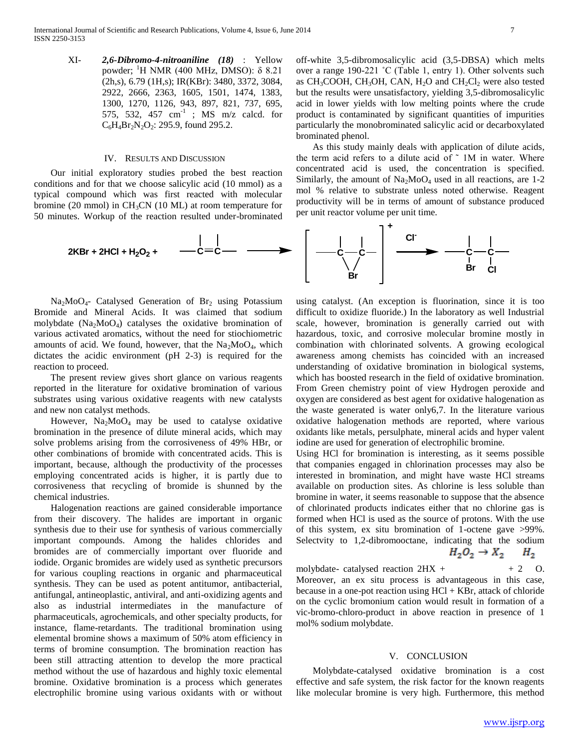XI- *2,6-Dibromo-4-nitroaniline (18)* : Yellow powder; <sup>1</sup>H NMR (400 MHz, DMSO): δ 8.21 (2h,s), 6.79 (1H,s); IR(KBr): 3480, 3372, 3084, 2922, 2666, 2363, 1605, 1501, 1474, 1383, 1300, 1270, 1126, 943, 897, 821, 737, 695, 575, 532, 457  $cm^{-1}$  ; MS  $m/z$  calcd. for  $C_6H_4Br_2N_2O_2$ : 295.9, found 295.2.

#### IV. RESULTS AND DISCUSSION

 Our initial exploratory studies probed the best reaction conditions and for that we choose salicylic acid (10 mmol) as a typical compound which was first reacted with molecular bromine (20 mmol) in  $CH<sub>3</sub>CN$  (10 ML) at room temperature for 50 minutes. Workup of the reaction resulted under-brominated

 As this study mainly deals with application of dilute acids, the term acid refers to a dilute acid of  $\tilde{ }$  1M in water. Where concentrated acid is used, the concentration is specified. Similarly, the amount of  $Na<sub>2</sub>MoO<sub>4</sub>$  used in all reactions, are 1-2 mol % relative to substrate unless noted otherwise. Reagent productivity will be in terms of amount of substance produced per unit reactor volume per unit time.



 $Na<sub>2</sub>MoO<sub>4</sub>$ - Catalysed Generation of Br<sub>2</sub> using Potassium Bromide and Mineral Acids. It was claimed that sodium molybdate  $(Na_2MoO<sub>4</sub>)$  catalyses the oxidative bromination of various activated aromatics, without the need for stiochiometric amounts of acid. We found, however, that the  $Na<sub>2</sub>MoO<sub>4</sub>$ , which dictates the acidic environment (pH 2-3) is required for the reaction to proceed.

 The present review gives short glance on various reagents reported in the literature for oxidative bromination of various substrates using various oxidative reagents with new catalysts and new non catalyst methods.

However,  $Na<sub>2</sub>MoO<sub>4</sub>$  may be used to catalyse oxidative bromination in the presence of dilute mineral acids, which may solve problems arising from the corrosiveness of 49% HBr, or other combinations of bromide with concentrated acids. This is important, because, although the productivity of the processes employing concentrated acids is higher, it is partly due to corrosiveness that recycling of bromide is shunned by the chemical industries.

 Halogenation reactions are gained considerable importance from their discovery. The halides are important in organic synthesis due to their use for synthesis of various commercially important compounds. Among the halides chlorides and bromides are of commercially important over fluoride and iodide. Organic bromides are widely used as synthetic precursors for various coupling reactions in organic and pharmaceutical synthesis. They can be used as potent antitumor, antibacterial, antifungal, antineoplastic, antiviral, and anti-oxidizing agents and also as industrial intermediates in the manufacture of pharmaceuticals, agrochemicals, and other specialty products, for instance, flame-retardants. The traditional bromination using elemental bromine shows a maximum of 50% atom efficiency in terms of bromine consumption. The bromination reaction has been still attracting attention to develop the more practical method without the use of hazardous and highly toxic elemental bromine. Oxidative bromination is a process which generates electrophilic bromine using various oxidants with or without

using catalyst. (An exception is fluorination, since it is too difficult to oxidize fluoride.) In the laboratory as well Industrial scale, however, bromination is generally carried out with hazardous, toxic, and corrosive molecular bromine mostly in combination with chlorinated solvents. A growing ecological awareness among chemists has coincided with an increased understanding of oxidative bromination in biological systems, which has boosted research in the field of oxidative bromination. From Green chemistry point of view Hydrogen peroxide and oxygen are considered as best agent for oxidative halogenation as the waste generated is water only6,7. In the literature various oxidative halogenation methods are reported, where various oxidants like metals, persulphate, mineral acids and hyper valent iodine are used for generation of electrophilic bromine.

Using HCl for bromination is interesting, as it seems possible that companies engaged in chlorination processes may also be interested in bromination, and might have waste HCl streams available on production sites. As chlorine is less soluble than bromine in water, it seems reasonable to suppose that the absence of chlorinated products indicates either that no chlorine gas is formed when HCl is used as the source of protons. With the use of this system, ex situ bromination of 1-octene gave >99%. Selectvity to 1,2-dibromooctane, indicating that the sodium

$$
H_2O_2 \rightarrow X_2 \qquad H_2
$$

molybdate- catalysed reaction  $2HX + +2$  O. Moreover, an ex situ process is advantageous in this case, because in a one-pot reaction using HCl + KBr, attack of chloride on the cyclic bromonium cation would result in formation of a vic-bromo-chloro-product in above reaction in presence of 1 mol% sodium molybdate.

#### V. CONCLUSION

 Molybdate-catalysed oxidative bromination is a cost effective and safe system, the risk factor for the known reagents like molecular bromine is very high. Furthermore, this method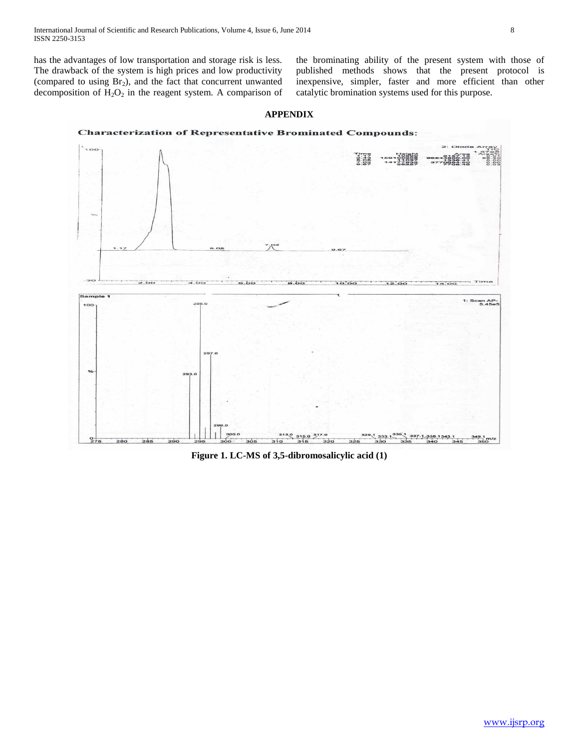has the advantages of low transportation and storage risk is less. The drawback of the system is high prices and low productivity (compared to using  $Br<sub>2</sub>$ ), and the fact that concurrent unwanted decomposition of  $H_2O_2$  in the reagent system. A comparison of the brominating ability of the present system with those of published methods shows that the present protocol is inexpensive, simpler, faster and more efficient than other catalytic bromination systems used for this purpose.

# **APPENDIX**





**Figure 1. LC-MS of 3,5-dibromosalicylic acid (1)**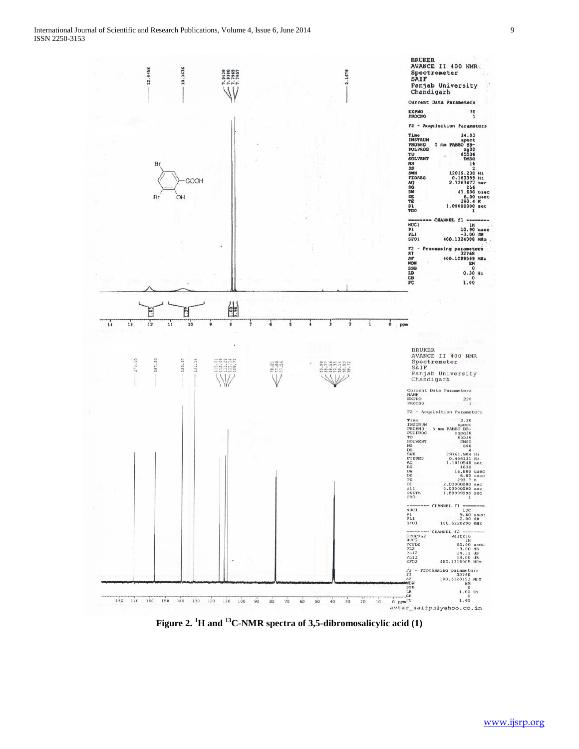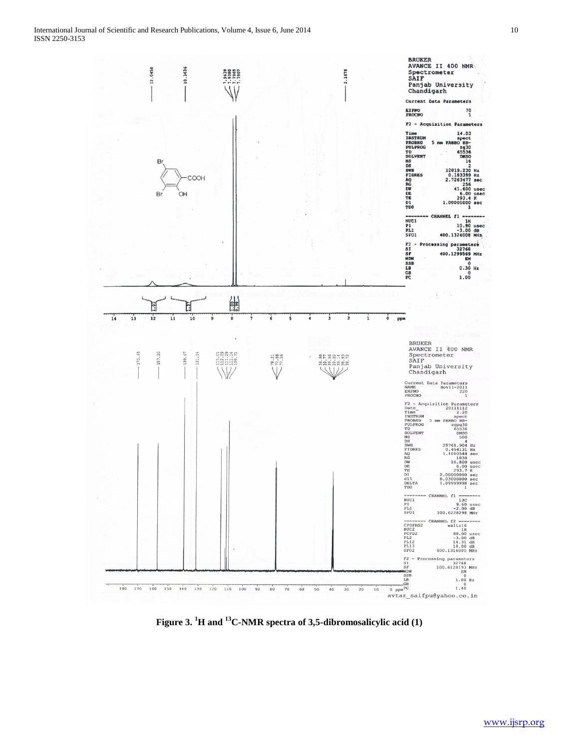

**Figure 3. <sup>1</sup>H and <sup>13</sup>C-NMR spectra of 3,5-dibromosalicylic acid (1)**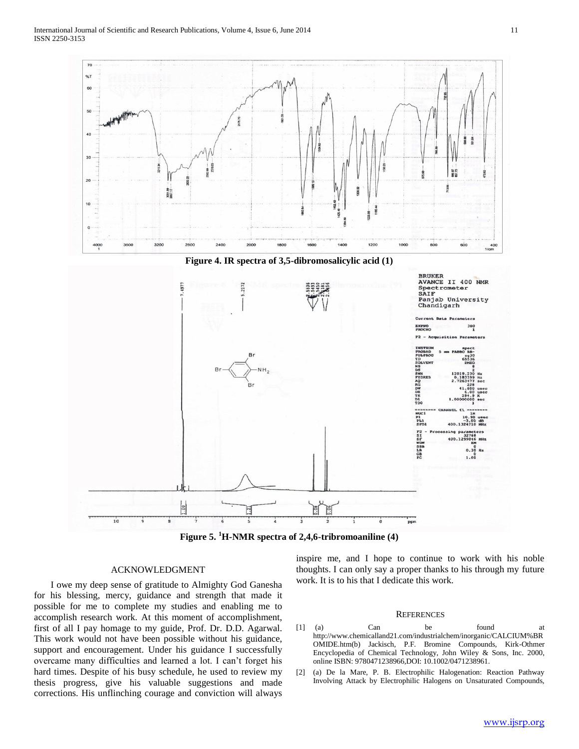

**Figure 5. <sup>1</sup>H-NMR spectra of 2,4,6-tribromoaniline (4)**

# ACKNOWLEDGMENT

 I owe my deep sense of gratitude to Almighty God Ganesha for his blessing, mercy, guidance and strength that made it possible for me to complete my studies and enabling me to accomplish research work. At this moment of accomplishment, first of all I pay homage to my guide, Prof. Dr. D.D. Agarwal. This work would not have been possible without his guidance, support and encouragement. Under his guidance I successfully overcame many difficulties and learned a lot. I can't forget his hard times. Despite of his busy schedule, he used to review my thesis progress, give his valuable suggestions and made corrections. His unflinching courage and conviction will always

inspire me, and I hope to continue to work with his noble thoughts. I can only say a proper thanks to his through my future work. It is to his that I dedicate this work.

#### **REFERENCES**

- [1] (a) Can be found at http://www.chemicalland21.com/industrialchem/inorganic/CALCIUM%BR OMIDE.htm(b) Jackisch, P.F. Bromine Compounds, Kirk-Othmer Encyclopedia of Chemical Technology, John Wiley & Sons, Inc. 2000, online ISBN: 9780471238966,DOI: 10.1002/0471238961.
- [2] (a) De la Mare, P. B. Electrophilic Halogenation: Reaction Pathway Involving Attack by Electrophilic Halogens on Unsaturated Compounds,